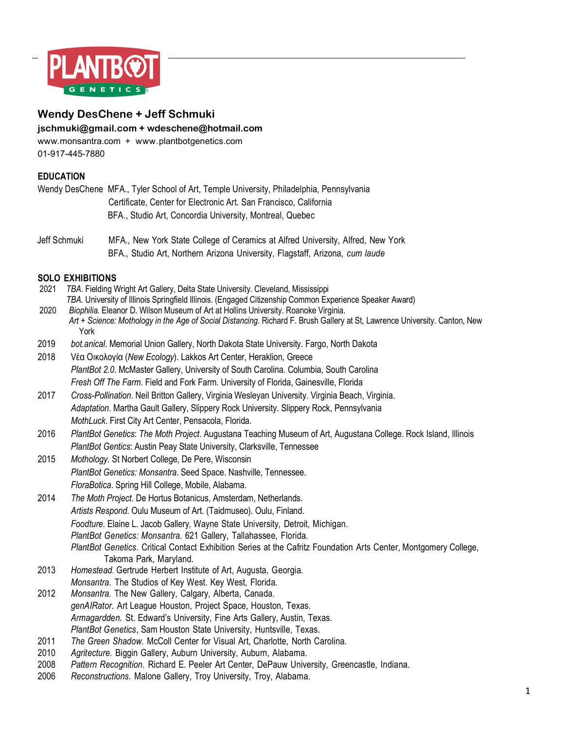

# **Wendy DesChene + Jeff Schmuki jschmuki@gmail.com + wdeschene@hotmail.com**

www.monsantra.com + www.plantbotgenetics.com 01-917-445-7880

## **EDUCATION**

| Wendy DesChene MFA., Tyler School of Art, Temple University, Philadelphia, Pennsylvania |
|-----------------------------------------------------------------------------------------|
| Certificate, Center for Electronic Art. San Francisco, California                       |
| BFA., Studio Art, Concordia University, Montreal, Quebec                                |

Jeff Schmuki MFA., New York State College of Ceramics at Alfred University, Alfred, New York BFA., Studio Art, Northern Arizona University, Flagstaff, Arizona, *cum laude*

## **SOLO EXHIBITIONS**

| 2021 | TBA. Fielding Wright Art Gallery, Delta State University. Cleveland, Mississippi                                                                  |
|------|---------------------------------------------------------------------------------------------------------------------------------------------------|
|      | TBA. University of Illinois Springfield Illinois. (Engaged Citizenship Common Experience Speaker Award)                                           |
| 2020 | Biophilia. Eleanor D. Wilson Museum of Art at Hollins University. Roanoke Virginia.                                                               |
|      | Art + Science: Mothology in the Age of Social Distancing. Richard F. Brush Gallery at St, Lawrence University. Canton, New<br>York                |
| 2019 | bot.anical. Memorial Union Gallery, North Dakota State University. Fargo, North Dakota                                                            |
| 2018 | Vέα Οικολογία (New Ecology). Lakkos Art Center, Heraklion, Greece                                                                                 |
|      | PlantBot 2.0. McMaster Gallery, University of South Carolina. Columbia, South Carolina                                                            |
|      | Fresh Off The Farm. Field and Fork Farm. University of Florida, Gainesville, Florida                                                              |
| 2017 | Cross-Pollination. Neil Britton Gallery, Virginia Wesleyan University. Virginia Beach, Virginia.                                                  |
|      | Adaptation. Martha Gault Gallery, Slippery Rock University. Slippery Rock, Pennsylvania                                                           |
|      | MothLuck. First City Art Center, Pensacola, Florida.                                                                                              |
| 2016 | PlantBot Genetics: The Moth Project. Augustana Teaching Museum of Art, Augustana College. Rock Island, Illinois                                   |
|      | PlantBot Gentics: Austin Peay State University, Clarksville, Tennessee                                                                            |
| 2015 | Mothology. St Norbert College, De Pere, Wisconsin                                                                                                 |
|      | PlantBot Genetics: Monsantra. Seed Space. Nashville, Tennessee.                                                                                   |
|      | FloraBotica. Spring Hill College, Mobile, Alabama.                                                                                                |
| 2014 | The Moth Project. De Hortus Botanicus, Amsterdam, Netherlands.                                                                                    |
|      | Artists Respond. Oulu Museum of Art. (Taidmuseo). Oulu, Finland.                                                                                  |
|      | Foodture. Elaine L. Jacob Gallery, Wayne State University, Detroit, Michigan.                                                                     |
|      | PlantBot Genetics: Monsantra. 621 Gallery, Tallahassee, Florida.                                                                                  |
|      | PlantBot Genetics. Critical Contact Exhibition Series at the Cafritz Foundation Arts Center, Montgomery College,                                  |
|      | Takoma Park, Maryland.                                                                                                                            |
| 2013 | Homestead. Gertrude Herbert Institute of Art, Augusta, Georgia.                                                                                   |
|      | Monsantra. The Studios of Key West. Key West, Florida.                                                                                            |
| 2012 | Monsantra. The New Gallery, Calgary, Alberta, Canada.                                                                                             |
|      | genAIRator. Art League Houston, Project Space, Houston, Texas.                                                                                    |
|      | Armagardden. St. Edward's University, Fine Arts Gallery, Austin, Texas.                                                                           |
| 2011 | PlantBot Genetics, Sam Houston State University, Huntsville, Texas.<br>The Green Shadow. McColl Center for Visual Art, Charlotte, North Carolina. |
| 2010 | Agritecture. Biggin Gallery, Auburn University, Auburn, Alabama.                                                                                  |
| 2008 | Pattern Recognition. Richard E. Peeler Art Center, DePauw University, Greencastle, Indiana.                                                       |
| 2006 | Reconstructions. Malone Gallery, Troy University, Troy, Alabama.                                                                                  |
|      |                                                                                                                                                   |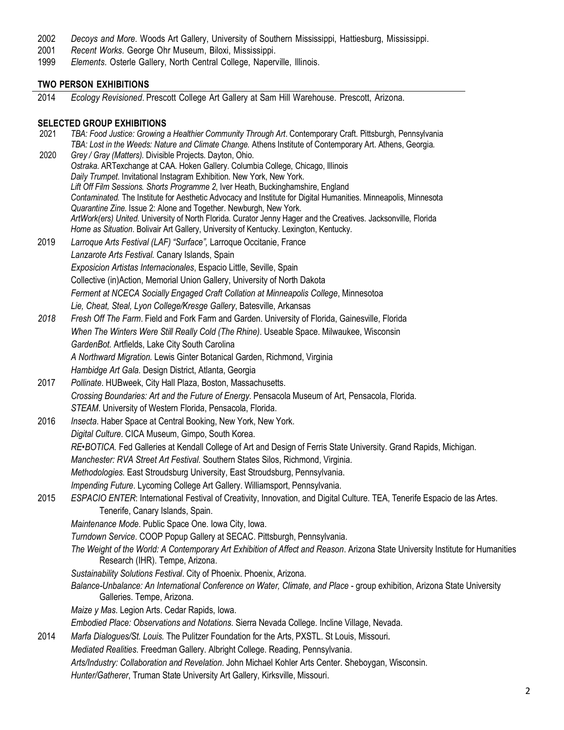- 2002 *Decoys and More*. Woods Art Gallery, University of Southern Mississippi, Hattiesburg, Mississippi.
- 2001 *Recent Works*. George Ohr Museum, Biloxi, Mississippi.
- 1999 *Elements*. Osterle Gallery, North Central College, Naperville, Illinois.

## **TWO PERSON EXHIBITIONS**

2014 *Ecology Revisioned*. Prescott College Art Gallery at Sam Hill Warehouse. Prescott, Arizona.

### **SELECTED GROUP EXHIBITIONS**

 2021 *TBA: Food Justice: Growing a Healthier Community Through Art*. Contemporary Craft. Pittsburgh, Pennsylvania *TBA: Lost in the Weeds: Nature and Climate Change. Athens Institute of Contemporary Art. Athens, Georgia.*<br>2020 *Grey / Gray (Matters). Divisible Projects. Dayton, Ohio.*  2020 *Grey / Gray (Matters).* Divisible Projects. Dayton, Ohio. *Ostraka*. ARTexchange at CAA. Hoken Gallery. Columbia College, Chicago, Illinois *Daily Trumpet*. Invitational Instagram Exhibition. New York, New York. *Lift Off Film Sessions. Shorts Programme 2*, Iver Heath, Buckinghamshire, England *Contaminated.* The Institute for Aesthetic Advocacy and Institute for Digital Humanities. Minneapolis, Minnesota *Quarantine Zine*. Issue 2: Alone and Together. Newburgh, New York. *ArtWork(ers) United*. University of North Florida. Curator Jenny Hager and the Creatives. Jacksonville, Florida *Home as Situation*. Bolivair Art Gallery, University of Kentucky. Lexington, Kentucky. 2019 *Larroque Arts Festival (LAF) "Surface",* Larroque Occitanie, France *Lanzarote Arts Festival.* Canary Islands, Spain *Exposicion Artistas Internacionales*, Espacio Little, Seville, Spain Collective (in)Action, Memorial Union Gallery, University of North Dakota *Ferment at NCECA Socially Engaged Craft Collation at Minneapolis College*, Minnesotoa *Lie, Cheat, Steal, Lyon College/Kresge Gallery*, Batesville, Arkansas *2018 Fresh Off The Farm*. Field and Fork Farm and Garden. University of Florida, Gainesville, Florida *When The Winters Were Still Really Cold (The Rhine)*. Useable Space. Milwaukee, Wisconsin *GardenBot.* Artfields, Lake City South Carolina  *A Northward Migration.* Lewis Ginter Botanical Garden, Richmond, Virginia  *Hambidge Art Gala.* Design District, Atlanta, Georgia 2017 *Pollinate*. HUBweek, City Hall Plaza, Boston, Massachusetts. *Crossing Boundaries: Art and the Future of Energy.* Pensacola Museum of Art, Pensacola, Florida. *STEAM*. University of Western Florida, Pensacola, Florida. 2016 *Insecta*. Haber Space at Central Booking, New York, New York. *Digital Culture*. CICA Museum, Gimpo, South Korea. *RE•BOTICA.* Fed Galleries at Kendall College of Art and Design of Ferris State University. Grand Rapids, Michigan. *Manchester: RVA Street Art Festival*. Southern States Silos, Richmond, Virginia. *Methodologies.* East Stroudsburg University, East Stroudsburg, Pennsylvania. *Impending Future*. Lycoming College Art Gallery. Williamsport, Pennsylvania. 2015 *ESPACIO ENTER*: International Festival of Creativity, Innovation, and Digital Culture. TEA, Tenerife Espacio de las Artes. Tenerife, Canary Islands, Spain. *Maintenance Mode*. Public Space One. Iowa City, Iowa. *Turndown Service*. COOP Popup Gallery at SECAC. Pittsburgh, Pennsylvania. *The Weight of the World: A Contemporary Art Exhibition of Affect and Reason*. Arizona State University Institute for Humanities Research (IHR). Tempe, Arizona. *Sustainability Solutions Festival*. City of Phoenix. Phoenix, Arizona. *Balance-Unbalance: An International Conference on Water, Climate, and Place* - group exhibition, Arizona State University Galleries. Tempe, Arizona. *Maize y Mas*. Legion Arts. Cedar Rapids, Iowa. *Embodied Place: Observations and Notations*. Sierra Nevada College. Incline Village, Nevada. 2014 *Marfa Dialogues/St. Louis.* The Pulitzer Foundation for the Arts, PXSTL. St Louis, Missouri. *Mediated Realities*. Freedman Gallery. Albright College. Reading, Pennsylvania. *Arts/Industry: Collaboration and Revelation*. John Michael Kohler Arts Center. Sheboygan, Wisconsin. *Hunter/Gatherer*, Truman State University Art Gallery, Kirksville, Missouri.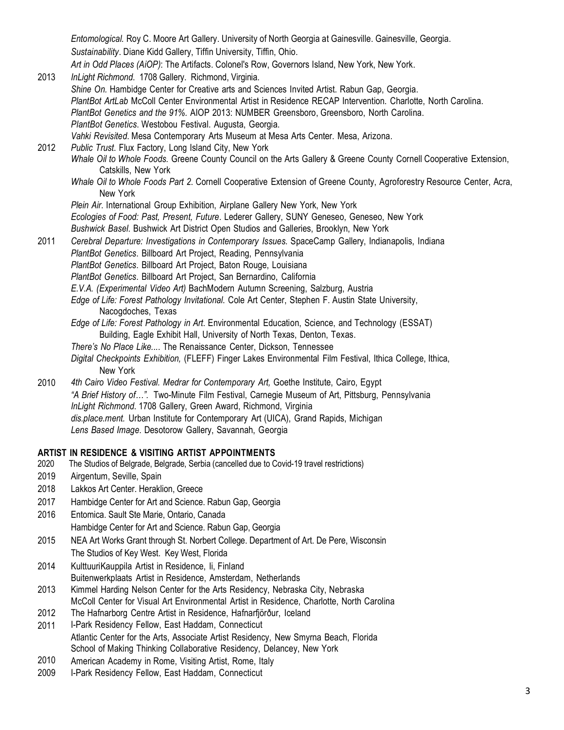*Entomological.* Roy C. Moore Art Gallery. University of North Georgia at Gainesville. Gainesville, Georgia. *Sustainability*. Diane Kidd Gallery, Tiffin University, Tiffin, Ohio. *Art in Odd Places (AiOP)*: The Artifacts. Colonel's Row, Governors Island, New York, New York.

2013 *InLight Richmond*. 1708 Gallery. Richmond, Virginia. *Shine On.* Hambidge Center for Creative arts and Sciences Invited Artist. Rabun Gap, Georgia. *PlantBot ArtLab* McColl Center Environmental Artist in Residence RECAP Intervention. Charlotte, North Carolina. *PlantBot Genetics and the 91%.* AIOP 2013: NUMBER Greensboro, Greensboro, North Carolina. *PlantBot Genetics*. Westobou Festival. Augusta, Georgia. *Vahki Revisited*. Mesa Contemporary Arts Museum at Mesa Arts Center. Mesa, Arizona.

# 2012 *Public Trust*. Flux Factory, Long Island City, New York *Whale Oil to Whole Foods.* Greene County Council on the Arts Gallery & Greene County Cornell Cooperative Extension, Catskills, New York

*Whale Oil to Whole Foods Part 2*. Cornell Cooperative Extension of Greene County, Agroforestry Resource Center, Acra, New York

*Plein Air*. International Group Exhibition, Airplane Gallery New York, New York *Ecologies of Food: Past, Present, Future*. Lederer Gallery, SUNY Geneseo, Geneseo, New York

- *Bushwick Basel*. Bushwick Art District Open Studios and Galleries, Brooklyn, New York
- 2011 *Cerebral Departure: Investigations in Contemporary Issues.* SpaceCamp Gallery, Indianapolis, Indiana *PlantBot Genetics*. Billboard Art Project, Reading, Pennsylvania
	- *PlantBot Genetics*. Billboard Art Project, Baton Rouge, Louisiana
	- *PlantBot Genetics*. Billboard Art Project, San Bernardino, California
	- *E.V.A. (Experimental Video Art)* BachModern Autumn Screening, Salzburg, Austria
	- *Edge of Life: Forest Pathology Invitational*. Cole Art Center, Stephen F. Austin State University, Nacogdoches, Texas
	- *Edge of Life: Forest Pathology in Art*. Environmental Education, Science, and Technology (ESSAT) Building, Eagle Exhibit Hall, University of North Texas, Denton, Texas.
	- *There's No Place Like...*. The Renaissance Center, Dickson, Tennessee
	- *Digital Checkpoints Exhibition,* (FLEFF) Finger Lakes Environmental Film Festival, Ithica College, Ithica, New York
- 2010 *4th Cairo Video Festival. Medrar for Contemporary Art,* Goethe Institute, Cairo, Egypt *"A Brief History of…".* Two-Minute Film Festival, Carnegie Museum of Art, Pittsburg, Pennsylvania *InLight Richmond*. 1708 Gallery, Green Award, Richmond, Virginia *dis.place.ment.* Urban Institute for Contemporary Art (UICA), Grand Rapids, Michigan *Lens Based Image*. Desotorow Gallery, Savannah, Georgia

## **ARTIST IN RESIDENCE & VISITING ARTIST APPOINTMENTS**

- 2020 The Studios of Belgrade, Belgrade, Serbia (cancelled due to Covid-19 travel restrictions)
- 2019 Airgentum, Seville, Spain
- 2018 Lakkos Art Center. Heraklion, Greece
- 2017 Hambidge Center for Art and Science. Rabun Gap, Georgia
- 2016 Entomica. Sault Ste Marie, Ontario, Canada Hambidge Center for Art and Science. Rabun Gap, Georgia
- 2015 NEA Art Works Grant through St. Norbert College. Department of Art. De Pere, Wisconsin The Studios of Key West. Key West, Florida
- 2014 KulttuuriKauppila Artist in Residence, Ii, Finland Buitenwerkplaats Artist in Residence, Amsterdam, Netherlands
- 2013 Kimmel Harding Nelson Center for the Arts Residency, Nebraska City, Nebraska McColl Center for Visual Art Environmental Artist in Residence, Charlotte, North Carolina
- 2012 The Hafnarborg Centre Artist in Residence, Hafnarfjörður, Iceland
- 2011 I-Park Residency Fellow, East Haddam, Connecticut Atlantic Center for the Arts, Associate Artist Residency, New Smyrna Beach, Florida School of Making Thinking Collaborative Residency, Delancey, New York
- 2010 American Academy in Rome, Visiting Artist, Rome, Italy
- 2009 I-Park Residency Fellow, East Haddam, Connecticut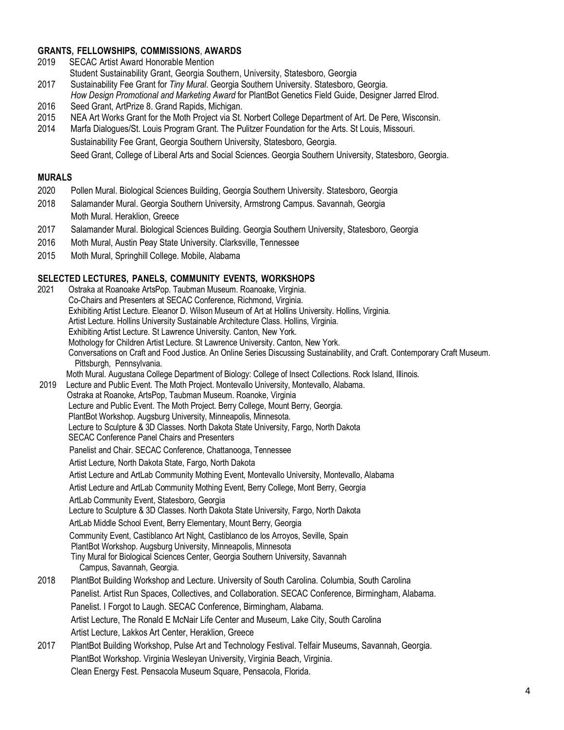## **GRANTS, FELLOWSHIPS, COMMISSIONS**, **AWARDS**

- 2019 SECAC Artist Award Honorable Mention
- Student Sustainability Grant, Georgia Southern, University, Statesboro, Georgia
- 2017 Sustainability Fee Grant for *Tiny Mural*. Georgia Southern University. Statesboro, Georgia. *How Design Promotional and Marketing Award* for PlantBot Genetics Field Guide, Designer Jarred Elrod.
- 2016 Seed Grant, ArtPrize 8. Grand Rapids, Michigan.
- 2015 NEA Art Works Grant for the Moth Project via St. Norbert College Department of Art. De Pere, Wisconsin.
- 2014 Marfa Dialogues/St. Louis Program Grant. The Pulitzer Foundation for the Arts. St Louis, Missouri. Sustainability Fee Grant, Georgia Southern University, Statesboro, Georgia. Seed Grant, College of Liberal Arts and Social Sciences. Georgia Southern University, Statesboro, Georgia.

### **MURALS**

- 2020 Pollen Mural. Biological Sciences Building, Georgia Southern University. Statesboro, Georgia
- 2018 Salamander Mural. Georgia Southern University, Armstrong Campus. Savannah, Georgia Moth Mural. Heraklion, Greece
- 2017 Salamander Mural. Biological Sciences Building. Georgia Southern University, Statesboro, Georgia
- 2016 Moth Mural, Austin Peay State University. Clarksville, Tennessee
- 2015 Moth Mural, Springhill College. Mobile, Alabama

### **SELECTED LECTURES, PANELS, COMMUNITY EVENTS, WORKSHOPS**

 2021 Ostraka at Roanoake ArtsPop. Taubman Museum. Roanoake, Virginia. Co-Chairs and Presenters at SECAC Conference, Richmond, Virginia. Exhibiting Artist Lecture. Eleanor D. Wilson Museum of Art at Hollins University. Hollins, Virginia. Artist Lecture. Hollins University Sustainable Architecture Class. Hollins, Virginia. Exhibiting Artist Lecture. St Lawrence University. Canton, New York. Mothology for Children Artist Lecture. St Lawrence University. Canton, New York. Conversations on Craft and Food Justice. An Online Series Discussing Sustainability, and Craft. Contemporary Craft Museum. Pittsburgh, Pennsylvania. Moth Mural. Augustana College Department of Biology: College of Insect Collections. Rock Island, Illinois. 2019 Lecture and Public Event. The Moth Project. Montevallo University, Montevallo, Alabama. Ostraka at Roanoke, ArtsPop, Taubman Museum. Roanoke, Virginia Lecture and Public Event. The Moth Project. Berry College, Mount Berry, Georgia. PlantBot Workshop. Augsburg University, Minneapolis, Minnesota. Lecture to Sculpture & 3D Classes. North Dakota State University, Fargo, North Dakota SECAC Conference Panel Chairs and Presenters Panelist and Chair. SECAC Conference, Chattanooga, Tennessee Artist Lecture, North Dakota State, Fargo, North Dakota Artist Lecture and ArtLab Community Mothing Event, Montevallo University, Montevallo, Alabama Artist Lecture and ArtLab Community Mothing Event, Berry College, Mont Berry, Georgia ArtLab Community Event, Statesboro, Georgia Lecture to Sculpture & 3D Classes. North Dakota State University, Fargo, North Dakota ArtLab Middle School Event, Berry Elementary, Mount Berry, Georgia Community Event, Castiblanco Art Night, Castiblanco de los Arroyos, Seville, Spain PlantBot Workshop. Augsburg University, Minneapolis, Minnesota Tiny Mural for Biological Sciences Center, Georgia Southern University, Savannah Campus, Savannah, Georgia. 2018 PlantBot Building Workshop and Lecture. University of South Carolina. Columbia, South Carolina Panelist. Artist Run Spaces, Collectives, and Collaboration. SECAC Conference, Birmingham, Alabama. Panelist. I Forgot to Laugh. SECAC Conference, Birmingham, Alabama. Artist Lecture, The Ronald E McNair Life Center and Museum, Lake City, South Carolina Artist Lecture, Lakkos Art Center, Heraklion, Greece 2017 PlantBot Building Workshop, Pulse Art and Technology Festival. Telfair Museums, Savannah, Georgia. PlantBot Workshop. Virginia Wesleyan University, Virginia Beach, Virginia.

Clean Energy Fest. Pensacola Museum Square, Pensacola, Florida.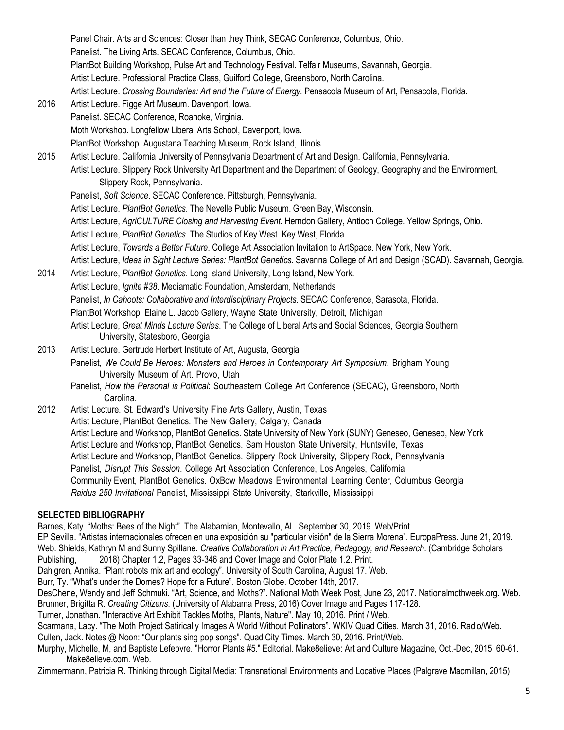Panel Chair. Arts and Sciences: Closer than they Think, SECAC Conference, Columbus, Ohio. Panelist. The Living Arts. SECAC Conference, Columbus, Ohio. PlantBot Building Workshop, Pulse Art and Technology Festival. Telfair Museums, Savannah, Georgia. Artist Lecture. Professional Practice Class, Guilford College, Greensboro, North Carolina. Artist Lecture. *Crossing Boundaries: Art and the Future of Energy.* Pensacola Museum of Art, Pensacola, Florida. 2016 Artist Lecture. Figge Art Museum. Davenport, Iowa. Panelist. SECAC Conference, Roanoke, Virginia. Moth Workshop. Longfellow Liberal Arts School, Davenport, Iowa. PlantBot Workshop. Augustana Teaching Museum, Rock Island, Illinois. 2015 Artist Lecture. California University of Pennsylvania Department of Art and Design. California, Pennsylvania. Artist Lecture. Slippery Rock University Art Department and the Department of Geology, Geography and the Environment, Slippery Rock, Pennsylvania. Panelist, *Soft Science*. SECAC Conference. Pittsburgh, Pennsylvania. Artist Lecture. *PlantBot Genetics*. The Nevelle Public Museum. Green Bay, Wisconsin. Artist Lecture, *AgriCULTURE Closing and Harvesting Event.* Herndon Gallery, Antioch College. Yellow Springs, Ohio. Artist Lecture, *PlantBot Genetics*. The Studios of Key West. Key West, Florida. Artist Lecture, *Towards a Better Future*. College Art Association Invitation to ArtSpace. New York, New York. Artist Lecture, *Ideas in Sight Lecture Series: PlantBot Genetics*. Savanna College of Art and Design (SCAD). Savannah, Georgia. 2014 Artist Lecture, *PlantBot Genetics*. Long Island University, Long Island, New York. Artist Lecture, *Ignite #38*. Mediamatic Foundation, Amsterdam, Netherlands Panelist, *In Cahoots: Collaborative and Interdisciplinary Projects*. SECAC Conference, Sarasota, Florida. PlantBot Workshop*.* Elaine L. Jacob Gallery*,* Wayne State University, Detroit, Michigan Artist Lecture, *Great Minds Lecture Series*. The College of Liberal Arts and Social Sciences, Georgia Southern University, Statesboro, Georgia 2013 Artist Lecture. Gertrude Herbert Institute of Art, Augusta, Georgia Panelist, *We Could Be Heroes: Monsters and Heroes in Contemporary Art Symposium*. Brigham Young University Museum of Art. Provo, Utah Panelist, *How the Personal is Political*: Southeastern College Art Conference (SECAC), Greensboro, North Carolina. 2012 Artist Lecture*.* St. Edward's University Fine Arts Gallery, Austin, Texas Artist Lecture, PlantBot Genetics. The New Gallery, Calgary, Canada Artist Lecture and Workshop, PlantBot Genetics. State University of New York (SUNY) Geneseo, Geneseo, New York Artist Lecture and Workshop, PlantBot Genetics. Sam Houston State University, Huntsville, Texas Artist Lecture and Workshop, PlantBot Genetics. Slippery Rock University, Slippery Rock, Pennsylvania Panelist, *Disrupt This Session*. College Art Association Conference, Los Angeles, California Community Event, PlantBot Genetics. OxBow Meadows Environmental Learning Center, Columbus Georgia

*Raidus 250 Invitational* Panelist, Mississippi State University, Starkville, Mississippi

## **SELECTED BIBLIOGRAPHY**

Barnes, Katy. "Moths: Bees of the Night". The Alabamian, Montevallo, AL. September 30, 2019. Web/Print. EP Sevilla. "Artistas internacionales ofrecen en una exposición su "particular visión" de la Sierra Morena". EuropaPress. June 21, 2019. Web. Shields, Kathryn M and Sunny Spillane*. Creative Collaboration in Art Practice, Pedagogy, and Research*. (Cambridge Scholars Publishing, 2018) Chapter 1.2, Pages 33-346 and Cover Image and Color Plate 1.2. Print. Dahlgren, Annika. "Plant robots mix art and ecology". University of South Carolina, August 17. Web. Burr, Ty. "What's under the Domes? Hope for a Future". Boston Globe. October 14th, 2017. DesChene, Wendy and Jeff Schmuki. "Art, Science, and Moths?". National Moth Week Post, June 23, 2017. Nationalmothweek.org. Web. Brunner, Brigitta R. *Creating Citizens*. (University of Alabama Press, 2016) Cover Image and Pages 117-128. Turner, Jonathan. "Interactive Art Exhibit Tackles Moths, Plants, Nature". May 10, 2016. Print / Web. Scarmana, Lacy. "The Moth Project Satirically Images A World Without Pollinators". WKIV Quad Cities. March 31, 2016. Radio/Web. Cullen, Jack. Notes @ Noon: "Our plants sing pop songs". Quad City Times. March 30, 2016. Print/Web. Murphy, Michelle, M, and Baptiste Lefebvre. "Horror Plants #5." Editorial. Make8elieve: Art and Culture Magazine, Oct.-Dec, 2015: 60-61. Make8elieve.com. Web. Zimmermann, Patricia R. Thinking through Digital Media: Transnational Environments and Locative Places (Palgrave Macmillan, 2015)